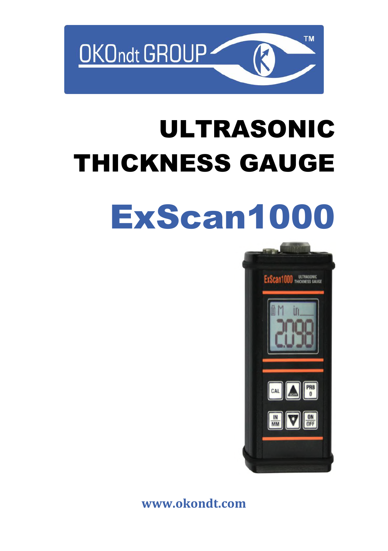

# ULTRASONIC THICKNESS GAUGE

# [ExScan1000](https://www.okondt.com/products/ut/thickness-gauges/exscan1000)



**[www.okondt.com](http://www.okondt.com/)**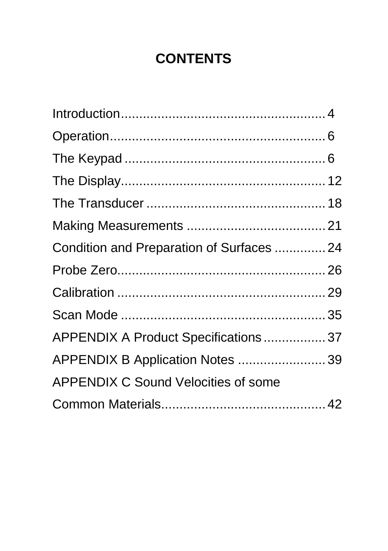# **CONTENTS**

| Condition and Preparation of Surfaces  24  |  |
|--------------------------------------------|--|
|                                            |  |
|                                            |  |
|                                            |  |
| APPENDIX A Product Specifications 37       |  |
| APPENDIX B Application Notes  39           |  |
| <b>APPENDIX C Sound Velocities of some</b> |  |
|                                            |  |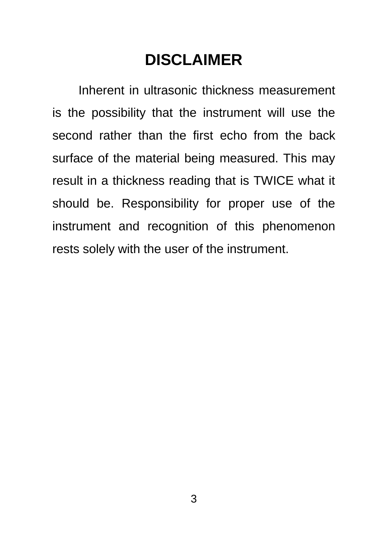# **DISCLAIMER**

Inherent in ultrasonic thickness measurement is the possibility that the instrument will use the second rather than the first echo from the back surface of the material being measured. This may result in a thickness reading that is TWICE what it should be. Responsibility for proper use of the instrument and recognition of this phenomenon rests solely with the user of the instrument.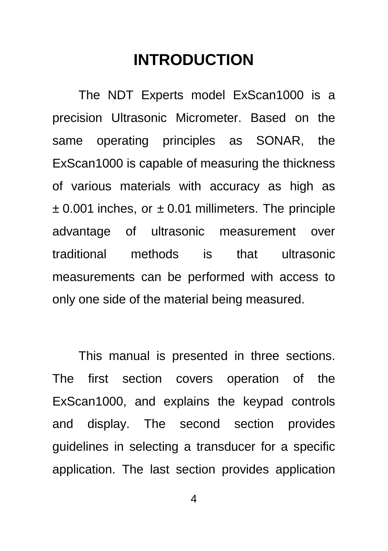# **INTRODUCTION**

<span id="page-3-0"></span>The NDT Experts model ExScan1000 is a precision Ultrasonic Micrometer. Based on the same operating principles as SONAR, the ExScan1000 is capable of measuring the thickness of various materials with accuracy as high as  $\pm$  0.001 inches, or  $\pm$  0.01 millimeters. The principle advantage of ultrasonic measurement over traditional methods is that ultrasonic measurements can be performed with access to only one side of the material being measured.

This manual is presented in three sections. The first section covers operation of the ExScan1000, and explains the keypad controls and display. The second section provides guidelines in selecting a transducer for a specific application. The last section provides application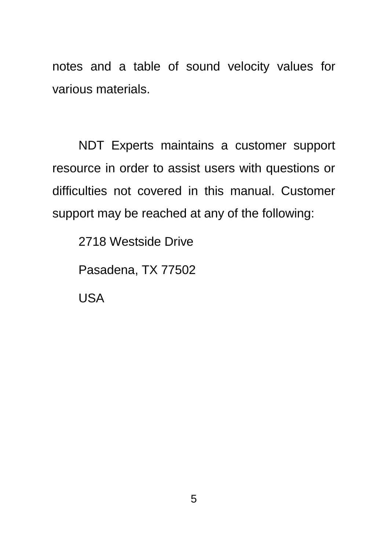notes and a table of sound velocity values for various materials.

NDT Experts maintains a customer support resource in order to assist users with questions or difficulties not covered in this manual. Customer support may be reached at any of the following:

2718 Westside Drive

Pasadena, TX 77502

USA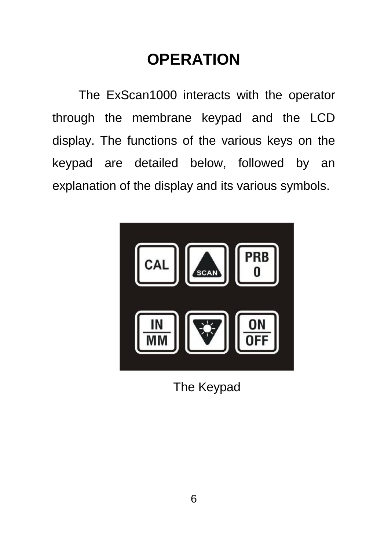# **OPERATION**

<span id="page-5-0"></span>The ExScan1000 interacts with the operator through the membrane keypad and the LCD display. The functions of the various keys on the keypad are detailed below, followed by an explanation of the display and its various symbols.



<span id="page-5-1"></span>The Keypad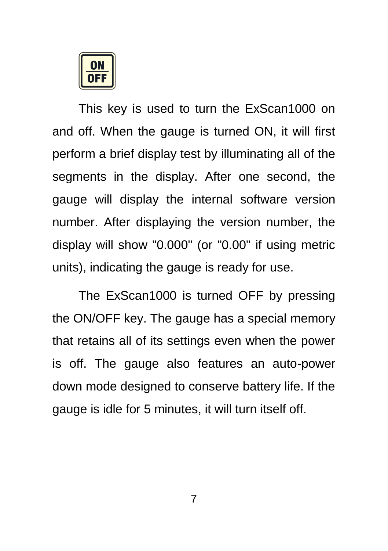

This key is used to turn the ExScan1000 on and off. When the gauge is turned ON, it will first perform a brief display test by illuminating all of the segments in the display. After one second, the gauge will display the internal software version number. After displaying the version number, the display will show "0.000" (or "0.00" if using metric units), indicating the gauge is ready for use.

The ExScan1000 is turned OFF by pressing the ON/OFF key. The gauge has a special memory that retains all of its settings even when the power is off. The gauge also features an auto-power down mode designed to conserve battery life. If the gauge is idle for 5 minutes, it will turn itself off.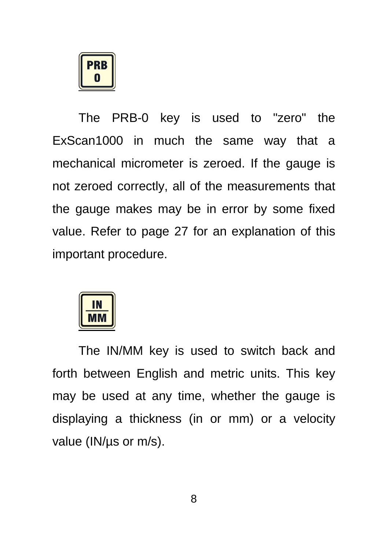**PRR** 

The PRB-0 key is used to "zero" the ExScan1000 in much the same way that a mechanical micrometer is zeroed. If the gauge is not zeroed correctly, all of the measurements that the gauge makes may be in error by some fixed value. Refer to page [27](#page-26-0) for an explanation of this important procedure.



The IN/MM key is used to switch back and forth between English and metric units. This key may be used at any time, whether the gauge is displaying a thickness (in or mm) or a velocity value (IN/us or m/s).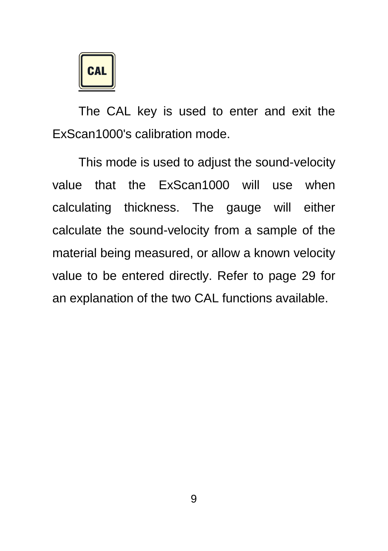

The CAL key is used to enter and exit the ExScan1000's calibration mode.

This mode is used to adjust the sound-velocity value that the ExScan1000 will use when calculating thickness. The gauge will either calculate the sound-velocity from a sample of the material being measured, or allow a known velocity value to be entered directly. Refer to page [29](#page-28-0) for an explanation of the two CAL functions available.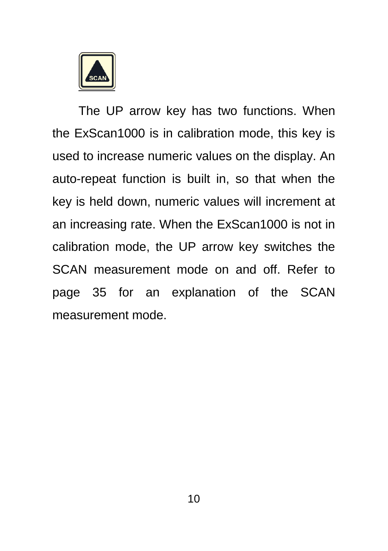

The UP arrow key has two functions. When the ExScan1000 is in calibration mode, this key is used to increase numeric values on the display. An auto-repeat function is built in, so that when the key is held down, numeric values will increment at an increasing rate. When the ExScan1000 is not in calibration mode, the UP arrow key switches the SCAN measurement mode on and off. Refer to page [35](#page-34-0) for an explanation of the SCAN measurement mode.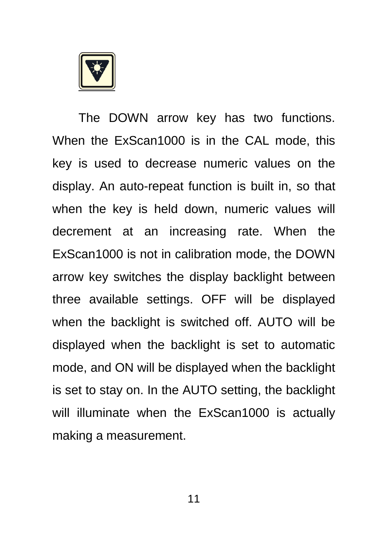

The DOWN arrow key has two functions. When the ExScan1000 is in the CAL mode, this key is used to decrease numeric values on the display. An auto-repeat function is built in, so that when the key is held down, numeric values will decrement at an increasing rate. When the ExScan1000 is not in calibration mode, the DOWN arrow key switches the display backlight between three available settings. OFF will be displayed when the backlight is switched off. AUTO will be displayed when the backlight is set to automatic mode, and ON will be displayed when the backlight is set to stay on. In the AUTO setting, the backlight will illuminate when the ExScan1000 is actually making a measurement.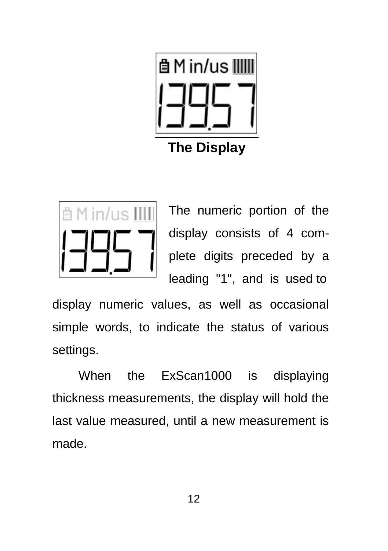

<span id="page-11-0"></span>Min/us **IIII** 

The numeric portion of the display consists of 4 complete digits preceded by a leading "1", and is used to

display numeric values, as well as occasional simple words, to indicate the status of various settings.

When the ExScan1000 is displaying thickness measurements, the display will hold the last value measured, until a new measurement is made.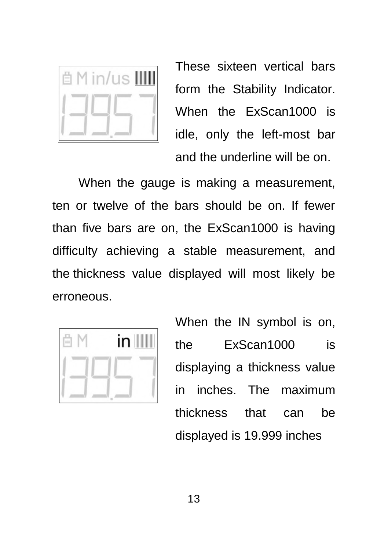

These sixteen vertical bars form the Stability Indicator. When the ExScan1000 is idle, only the left-most bar and the underline will be on.

When the gauge is making a measurement, ten or twelve of the bars should be on. If fewer than five bars are on, the ExScan1000 is having difficulty achieving a stable measurement, and the thickness value displayed will most likely be erroneous.



When the IN symbol is on. the ExScan1000 is displaying a thickness value in inches. The maximum thickness that can be displayed is 19.999 inches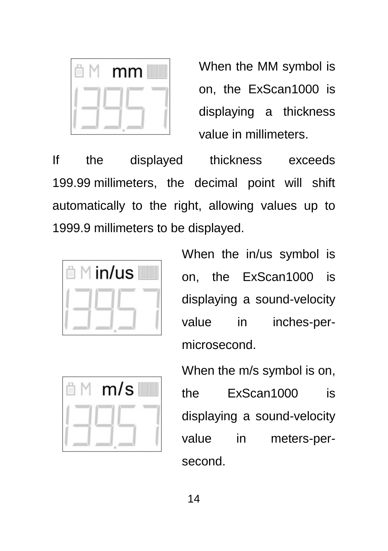

When the MM symbol is on, the ExScan1000 is displaying a thickness value in millimeters.

If the displayed thickness exceeds 199.99 millimeters, the decimal point will shift automatically to the right, allowing values up to 1999.9 millimeters to be displayed.



When the in/us symbol is on, the ExScan1000 is displaying a sound-velocity value in inches-permicrosecond.

|  |  | m/s |
|--|--|-----|
|  |  |     |
|  |  |     |

When the m/s symbol is on, the ExScan1000 is displaying a sound-velocity value in meters-persecond.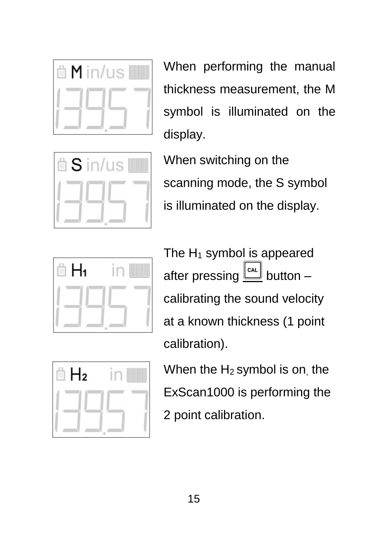

When performing the manual thickness measurement, the M symbol is illuminated on the display.



When switching on the scanning mode, the S symbol is illuminated on the display.



The  $H_1$  symbol is appeared after pressing  $\underline{\underline{\mathbb{C}}^{\alpha L}}$  button – calibrating the sound velocity at a known thickness (1 point calibration).



When the  $H_2$  symbol is on, the ExScan1000 is performing the 2 point calibration.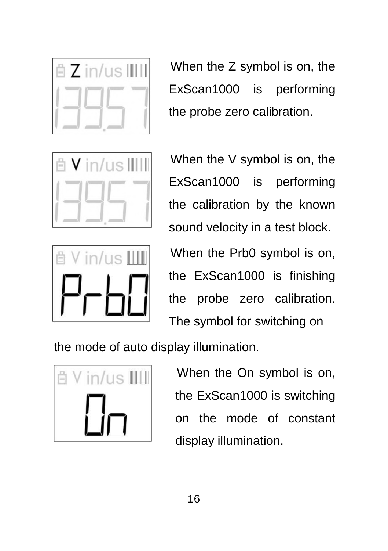

When the Z symbol is on, the ExScan1000 is performing the probe zero calibration.





When the V symbol is on, the ExScan1000 is performing the calibration by the known sound velocity in a test block.

When the Prb0 symbol is on, the ExScan1000 is finishing the probe zero calibration. The symbol for switching on

the mode of auto display illumination.



When the On symbol is on, the ExScan1000 is switching on the mode of constant display illumination.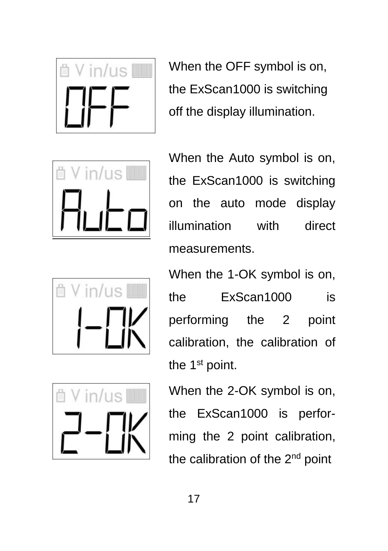

When the OFF symbol is on, the ExScan1000 is switching off the display illumination.







When the Auto symbol is on, the ExScan1000 is switching on the auto mode display illumination with direct measurements.

When the 1-OK symbol is on, the ExScan1000 is performing the 2 point calibration, the calibration of the 1<sup>st</sup> point.

When the 2-OK symbol is on, the ExScan1000 is performing the 2 point calibration, the calibration of the 2<sup>nd</sup> point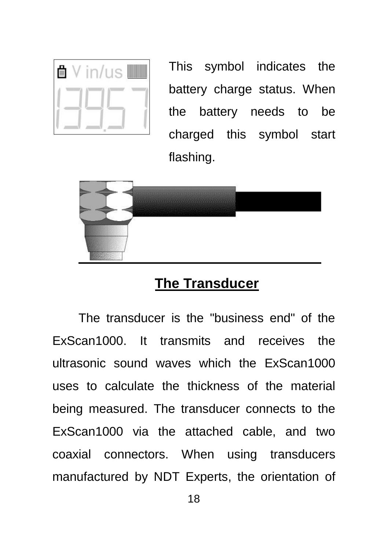| 苜 |  |  | <b>TILLING I</b> |
|---|--|--|------------------|
|   |  |  |                  |
|   |  |  |                  |

This symbol indicates the battery charge status. When the battery needs to be charged this symbol start flashing.



#### **The Transducer**

<span id="page-17-0"></span>The transducer is the "business end" of the ExScan1000. It transmits and receives the ultrasonic sound waves which the ExScan1000 uses to calculate the thickness of the material being measured. The transducer connects to the ExScan1000 via the attached cable, and two coaxial connectors. When using transducers manufactured by NDT Experts, the orientation of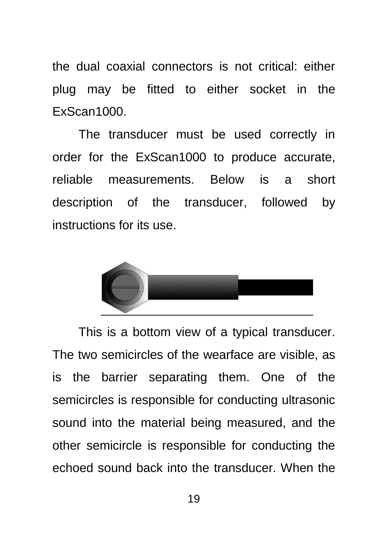the dual coaxial connectors is not critical: either plug may be fitted to either socket in the ExScan1000.

The transducer must be used correctly in order for the ExScan1000 to produce accurate, reliable measurements. Below is a short description of the transducer, followed by instructions for its use.



This is a bottom view of a typical transducer. The two semicircles of the wearface are visible, as is the barrier separating them. One of the semicircles is responsible for conducting ultrasonic sound into the material being measured, and the other semicircle is responsible for conducting the echoed sound back into the transducer. When the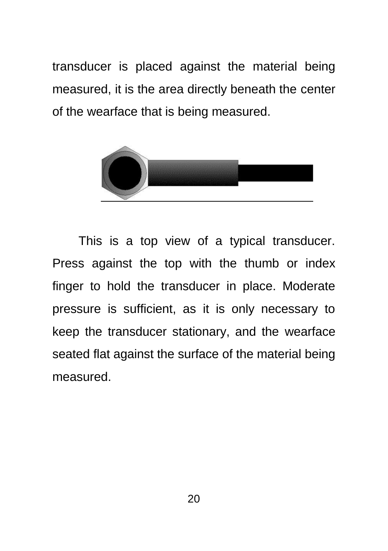transducer is placed against the material being measured, it is the area directly beneath the center of the wearface that is being measured.



This is a top view of a typical transducer. Press against the top with the thumb or index finger to hold the transducer in place. Moderate pressure is sufficient, as it is only necessary to keep the transducer stationary, and the wearface seated flat against the surface of the material being measured.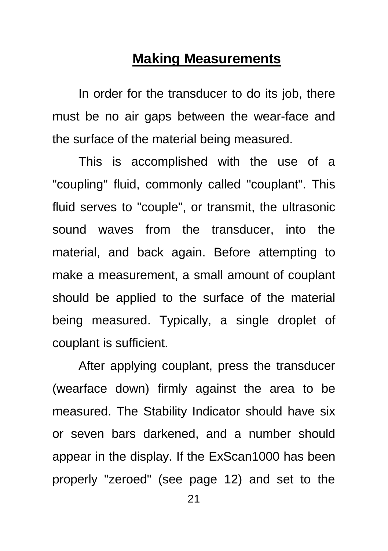#### **Making Measurements**

<span id="page-20-0"></span>In order for the transducer to do its job, there must be no air gaps between the wear-face and the surface of the material being measured.

This is accomplished with the use of a "coupling" fluid, commonly called "couplant". This fluid serves to "couple", or transmit, the ultrasonic sound waves from the transducer, into the material, and back again. Before attempting to make a measurement, a small amount of couplant should be applied to the surface of the material being measured. Typically, a single droplet of couplant is sufficient.

After applying couplant, press the transducer (wearface down) firmly against the area to be measured. The Stability Indicator should have six or seven bars darkened, and a number should appear in the display. If the ExScan1000 has been properly "zeroed" (see page 12) and set to the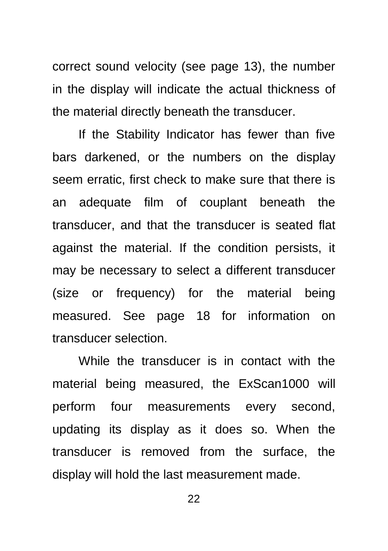correct sound velocity (see page 13), the number in the display will indicate the actual thickness of the material directly beneath the transducer.

If the Stability Indicator has fewer than five bars darkened, or the numbers on the display seem erratic, first check to make sure that there is an adequate film of couplant beneath the transducer, and that the transducer is seated flat against the material. If the condition persists, it may be necessary to select a different transducer (size or frequency) for the material being measured. See page 18 for information on transducer selection.

While the transducer is in contact with the material being measured, the ExScan1000 will perform four measurements every second, updating its display as it does so. When the transducer is removed from the surface, the display will hold the last measurement made.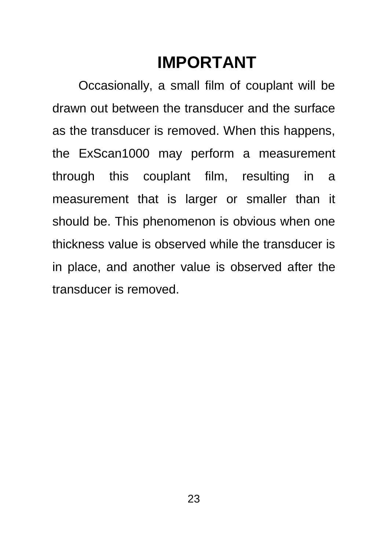# **IMPORTANT**

Occasionally, a small film of couplant will be drawn out between the transducer and the surface as the transducer is removed. When this happens, the ExScan1000 may perform a measurement through this couplant film, resulting in a measurement that is larger or smaller than it should be. This phenomenon is obvious when one thickness value is observed while the transducer is in place, and another value is observed after the transducer is removed.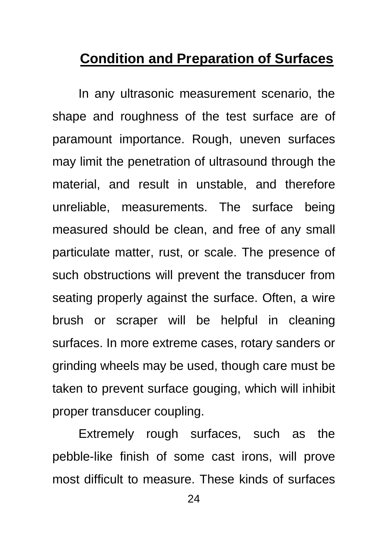#### <span id="page-23-0"></span>**Condition and Preparation of Surfaces**

In any ultrasonic measurement scenario, the shape and roughness of the test surface are of paramount importance. Rough, uneven surfaces may limit the penetration of ultrasound through the material, and result in unstable, and therefore unreliable, measurements. The surface being measured should be clean, and free of any small particulate matter, rust, or scale. The presence of such obstructions will prevent the transducer from seating properly against the surface. Often, a wire brush or scraper will be helpful in cleaning surfaces. In more extreme cases, rotary sanders or grinding wheels may be used, though care must be taken to prevent surface gouging, which will inhibit proper transducer coupling.

Extremely rough surfaces, such as the pebble-like finish of some cast irons, will prove most difficult to measure. These kinds of surfaces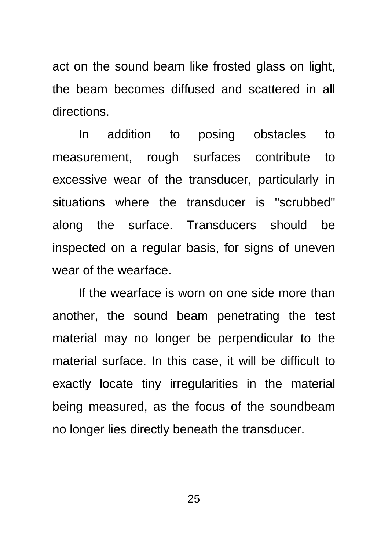act on the sound beam like frosted glass on light, the beam becomes diffused and scattered in all directions.

In addition to posing obstacles to measurement, rough surfaces contribute to excessive wear of the transducer, particularly in situations where the transducer is "scrubbed" along the surface. Transducers should be inspected on a regular basis, for signs of uneven wear of the wearface.

If the wearface is worn on one side more than another, the sound beam penetrating the test material may no longer be perpendicular to the material surface. In this case, it will be difficult to exactly locate tiny irregularities in the material being measured, as the focus of the soundbeam no longer lies directly beneath the transducer.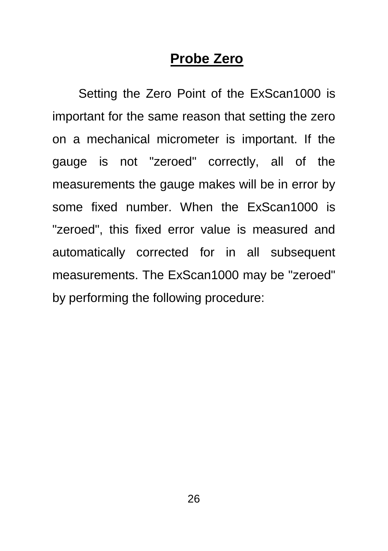#### **Probe Zero**

<span id="page-25-0"></span>Setting the Zero Point of the ExScan1000 is important for the same reason that setting the zero on a mechanical micrometer is important. If the gauge is not "zeroed" correctly, all of the measurements the gauge makes will be in error by some fixed number. When the ExScan1000 is "zeroed", this fixed error value is measured and automatically corrected for in all subsequent measurements. The ExScan1000 may be "zeroed" by performing the following procedure: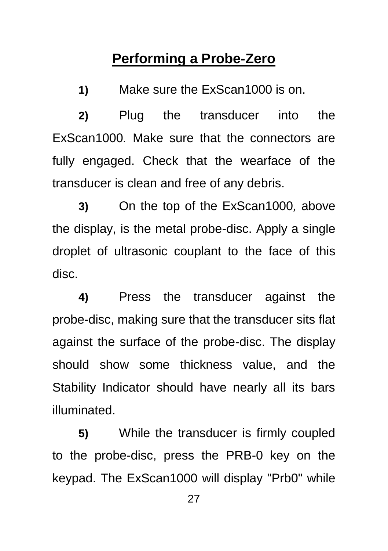#### **Performing a Probe-Zero**

<span id="page-26-0"></span>**1)** Make sure the ExScan1000 is on.

**2)** Plug the transducer into the ExScan1000*.* Make sure that the connectors are fully engaged. Check that the wearface of the transducer is clean and free of any debris.

**3)** On the top of the ExScan1000*,* above the display, is the metal probe-disc. Apply a single droplet of ultrasonic couplant to the face of this disc.

**4)** Press the transducer against the probe-disc, making sure that the transducer sits flat against the surface of the probe-disc. The display should show some thickness value, and the Stability Indicator should have nearly all its bars illuminated.

**5)** While the transducer is firmly coupled to the probe-disc, press the PRB-0 key on the keypad. The ExScan1000 will display "Prb0" while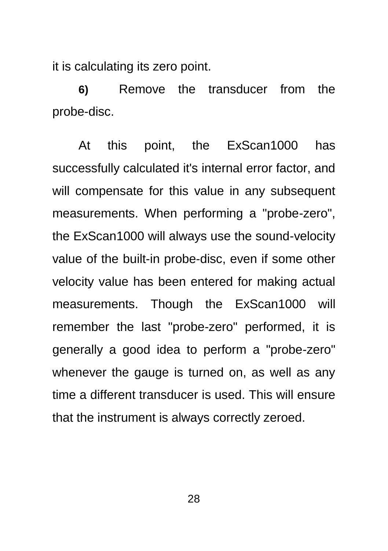it is calculating its zero point.

**6)** Remove the transducer from the probe-disc.

At this point, the ExScan1000 has successfully calculated it's internal error factor, and will compensate for this value in any subsequent measurements. When performing a "probe-zero", the ExScan1000 will always use the sound-velocity value of the built-in probe-disc, even if some other velocity value has been entered for making actual measurements. Though the ExScan1000 will remember the last "probe-zero" performed, it is generally a good idea to perform a "probe-zero" whenever the gauge is turned on, as well as any time a different transducer is used. This will ensure that the instrument is always correctly zeroed.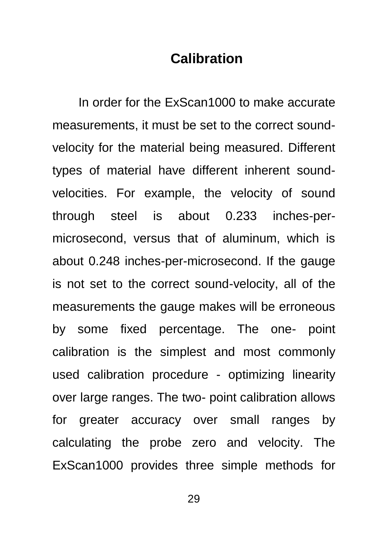#### **Calibration**

<span id="page-28-0"></span>In order for the ExScan1000 to make accurate measurements, it must be set to the correct soundvelocity for the material being measured. Different types of material have different inherent soundvelocities. For example, the velocity of sound through steel is about 0.233 inches-permicrosecond, versus that of aluminum, which is about 0.248 inches-per-microsecond. If the gauge is not set to the correct sound-velocity, all of the measurements the gauge makes will be erroneous by some fixed percentage. The one- point calibration is the simplest and most commonly used calibration procedure - optimizing linearity over large ranges. The two- point calibration allows for greater accuracy over small ranges by calculating the probe zero and velocity. The ExScan1000 provides three simple methods for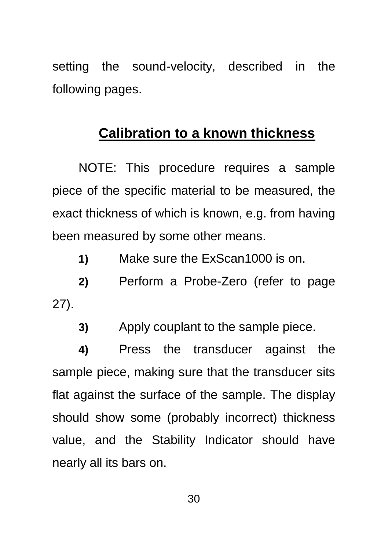setting the sound-velocity, described in the following pages.

#### **Calibration to a known thickness**

NOTE: This procedure requires a sample piece of the specific material to be measured, the exact thickness of which is known, e.g. from having been measured by some other means.

**1)** Make sure the ExScan1000 is on.

**2)** Perform a Probe-Zero (refer to page [27\)](#page-26-0).

**3)** Apply couplant to the sample piece.

**4)** Press the transducer against the sample piece, making sure that the transducer sits flat against the surface of the sample. The display should show some (probably incorrect) thickness value, and the Stability Indicator should have nearly all its bars on.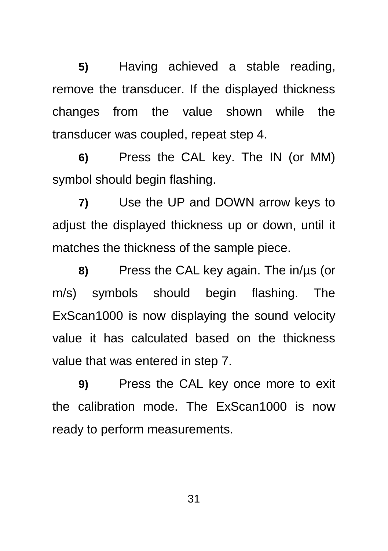**5)** Having achieved a stable reading, remove the transducer. If the displayed thickness changes from the value shown while the transducer was coupled, repeat step 4.

**6)** Press the CAL key. The IN (or MM) symbol should begin flashing.

**7)** Use the UP and DOWN arrow keys to adjust the displayed thickness up or down, until it matches the thickness of the sample piece.

**8)** Press the CAL key again. The in/µs (or m/s) symbols should begin flashing. The ExScan1000 is now displaying the sound velocity value it has calculated based on the thickness value that was entered in step 7.

**9)** Press the CAL key once more to exit the calibration mode. The ExScan1000 is now ready to perform measurements.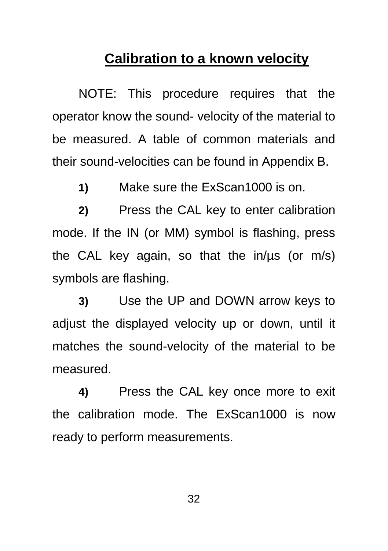#### **Calibration to a known velocity**

NOTE: This procedure requires that the operator know the sound- velocity of the material to be measured. A table of common materials and their sound-velocities can be found in Appendix B.

**1)** Make sure the ExScan1000 is on.

**2)** Press the CAL key to enter calibration mode. If the IN (or MM) symbol is flashing, press the CAL key again, so that the in/µs (or m/s) symbols are flashing.

**3)** Use the UP and DOWN arrow keys to adjust the displayed velocity up or down, until it matches the sound-velocity of the material to be measured.

**4)** Press the CAL key once more to exit the calibration mode. The ExScan1000 is now ready to perform measurements.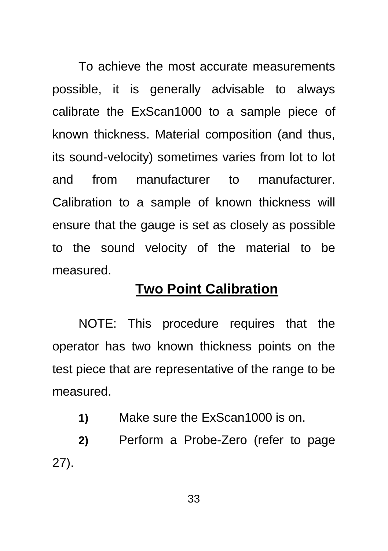To achieve the most accurate measurements possible, it is generally advisable to always calibrate the ExScan1000 to a sample piece of known thickness. Material composition (and thus, its sound-velocity) sometimes varies from lot to lot and from manufacturer to manufacturer. Calibration to a sample of known thickness will ensure that the gauge is set as closely as possible to the sound velocity of the material to be measured.

#### **Two Point Calibration**

NOTE: This procedure requires that the operator has two known thickness points on the test piece that are representative of the range to be measured.

**1)** Make sure the ExScan1000 is on.

**2)** Perform a Probe-Zero (refer to page [27\)](#page-26-0).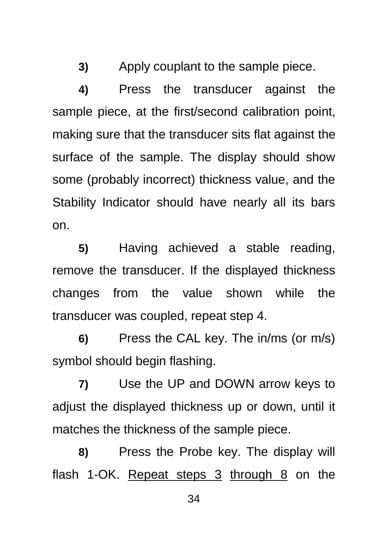**3)** Apply couplant to the sample piece.

**4)** Press the transducer against the sample piece, at the first/second calibration point, making sure that the transducer sits flat against the surface of the sample. The display should show some (probably incorrect) thickness value, and the Stability Indicator should have nearly all its bars on.

**5)** Having achieved a stable reading, remove the transducer. If the displayed thickness changes from the value shown while the transducer was coupled, repeat step 4.

**6)** Press the CAL key. The in/ms (or m/s) symbol should begin flashing.

**7)** Use the UP and DOWN arrow keys to adjust the displayed thickness up or down, until it matches the thickness of the sample piece.

**8)** Press the Probe key. The display will flash 1-OK. Repeat steps  $3$  through  $8$  on the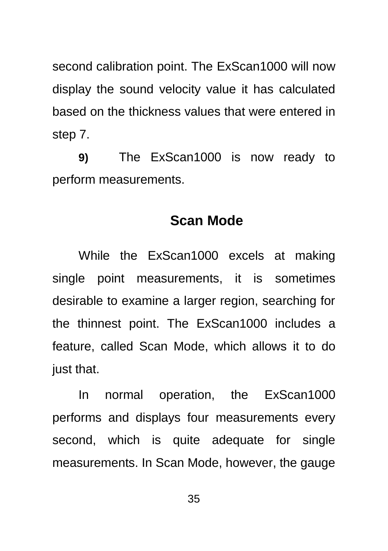second calibration point. The ExScan1000 will now display the sound velocity value it has calculated based on the thickness values that were entered in step 7.

**9)** The ExScan1000 is now ready to perform measurements.

#### **Scan Mode**

<span id="page-34-0"></span>While the ExScan1000 excels at making single point measurements, it is sometimes desirable to examine a larger region, searching for the thinnest point. The ExScan1000 includes a feature, called Scan Mode, which allows it to do just that.

In normal operation, the ExScan1000 performs and displays four measurements every second, which is quite adequate for single measurements. In Scan Mode, however, the gauge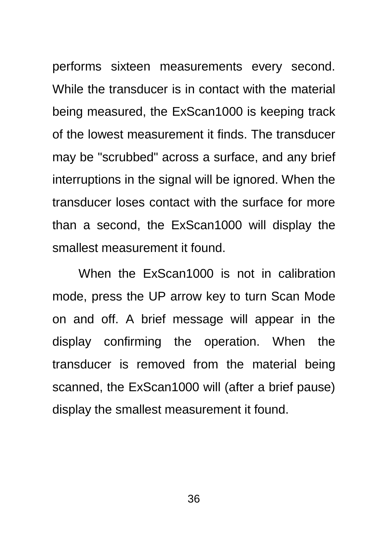performs sixteen measurements every second. While the transducer is in contact with the material being measured, the ExScan1000 is keeping track of the lowest measurement it finds. The transducer may be "scrubbed" across a surface, and any brief interruptions in the signal will be ignored. When the transducer loses contact with the surface for more than a second, the ExScan1000 will display the smallest measurement it found.

When the ExScan1000 is not in calibration mode, press the UP arrow key to turn Scan Mode on and off. A brief message will appear in the display confirming the operation. When the transducer is removed from the material being scanned, the ExScan1000 will (after a brief pause) display the smallest measurement it found.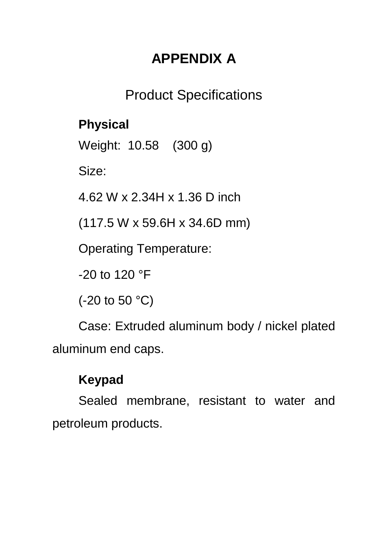# **APPENDIX A**

# Product Specifications

## <span id="page-36-1"></span><span id="page-36-0"></span>**Physical**

Weight: 10.58 (300 g)

Size:

4.62 W x 2.34H x 1.36 D inch

(117.5 W x 59.6H x 34.6D mm)

Operating Temperature:

-20 to 120 °F

(-20 to 50 °C)

Case: Extruded aluminum body / nickel plated aluminum end caps.

## **Keypad**

Sealed membrane, resistant to water and petroleum products.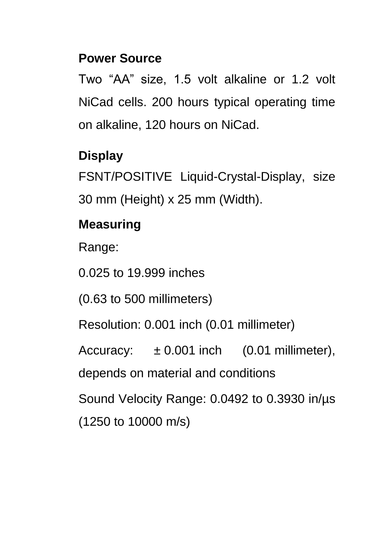#### **Power Source**

Two "AA" size, 1.5 volt alkaline or 1.2 volt NiCad cells. 200 hours typical operating time on alkaline, 120 hours on NiCad.

#### **Display**

FSNT/POSITIVE Liquid-Crystal-Display, size 30 mm (Height) x 25 mm (Width).

# **Measuring**

Range:

0.025 to 19.999 inches

(0.63 to 500 millimeters)

Resolution: 0.001 inch (0.01 millimeter)

Accuracy:  $\pm 0.001$  inch (0.01 millimeter),

depends on material and conditions

Sound Velocity Range: 0.0492 to 0.3930 in/µs (1250 to 10000 m/s)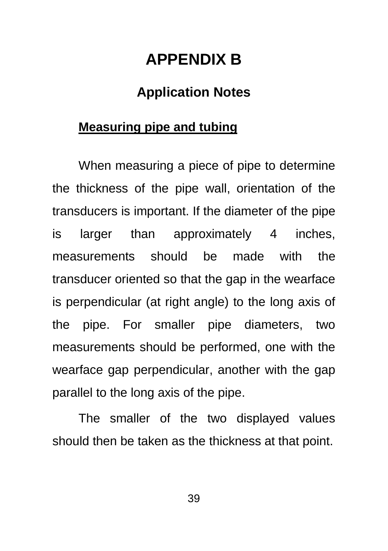# **APPENDIX B**

#### **Application Notes**

#### <span id="page-38-1"></span><span id="page-38-0"></span>**Measuring pipe and tubing**

When measuring a piece of pipe to determine the thickness of the pipe wall, orientation of the transducers is important. If the diameter of the pipe is larger than approximately 4 inches, measurements should be made with the transducer oriented so that the gap in the wearface is perpendicular (at right angle) to the long axis of the pipe. For smaller pipe diameters, two measurements should be performed, one with the wearface gap perpendicular, another with the gap parallel to the long axis of the pipe.

The smaller of the two displayed values should then be taken as the thickness at that point.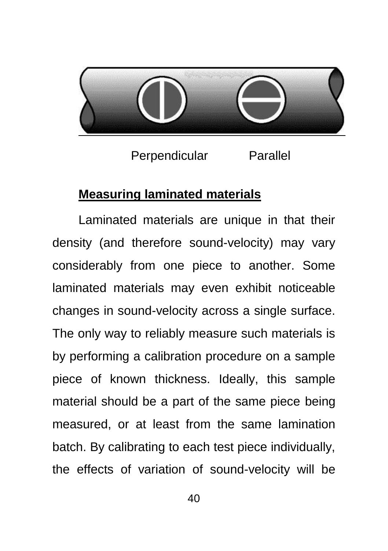

Perpendicular Parallel

#### **Measuring laminated materials**

Laminated materials are unique in that their density (and therefore sound-velocity) may vary considerably from one piece to another. Some laminated materials may even exhibit noticeable changes in sound-velocity across a single surface. The only way to reliably measure such materials is by performing a calibration procedure on a sample piece of known thickness. Ideally, this sample material should be a part of the same piece being measured, or at least from the same lamination batch. By calibrating to each test piece individually, the effects of variation of sound-velocity will be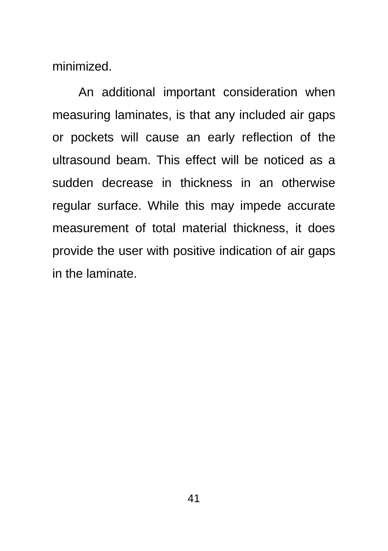minimized.

An additional important consideration when measuring laminates, is that any included air gaps or pockets will cause an early reflection of the ultrasound beam. This effect will be noticed as a sudden decrease in thickness in an otherwise regular surface. While this may impede accurate measurement of total material thickness, it does provide the user with positive indication of air gaps in the laminate.